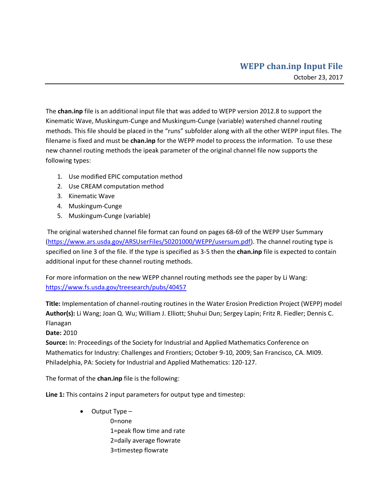The **chan.inp** file is an additional input file that was added to WEPP version 2012.8 to support the Kinematic Wave, Muskingum-Cunge and Muskingum-Cunge (variable) watershed channel routing methods. This file should be placed in the "runs" subfolder along with all the other WEPP input files. The filename is fixed and must be **chan.inp** for the WEPP model to process the information. To use these new channel routing methods the ipeak parameter of the original channel file now supports the following types:

- 1. Use modified EPIC computation method
- 2. Use CREAM computation method
- 3. Kinematic Wave
- 4. Muskingum-Cunge
- 5. Muskingum-Cunge (variable)

The original watershed channel file format can found on pages 68-69 of the WEPP User Summary [\(https://www.ars.usda.gov/ARSUserFiles/50201000/WEPP/usersum.pdf\)](https://www.ars.usda.gov/ARSUserFiles/50201000/WEPP/usersum.pdf). The channel routing type is specified on line 3 of the file. If the type is specified as 3-5 then the **chan.inp** file is expected to contain additional input for these channel routing methods.

For more information on the new WEPP channel routing methods see the paper by Li Wang: <https://www.fs.usda.gov/treesearch/pubs/40457>

**Title:** Implementation of channel-routing routines in the Water Erosion Prediction Project (WEPP) model **Author(s):** Li Wang; Joan Q. Wu; William J. Elliott; Shuhui Dun; Sergey Lapin; Fritz R. Fiedler; Dennis C. Flanagan

**Date:** 2010

**Source:** In: Proceedings of the Society for Industrial and Applied Mathematics Conference on Mathematics for Industry: Challenges and Frontiers; October 9-10, 2009; San Francisco, CA. MI09. Philadelphia, PA: Society for Industrial and Applied Mathematics: 120-127.

The format of the **chan.inp** file is the following:

**Line 1:** This contains 2 input parameters for output type and timestep:

 Output Type – 0=none 1=peak flow time and rate 2=daily average flowrate 3=timestep flowrate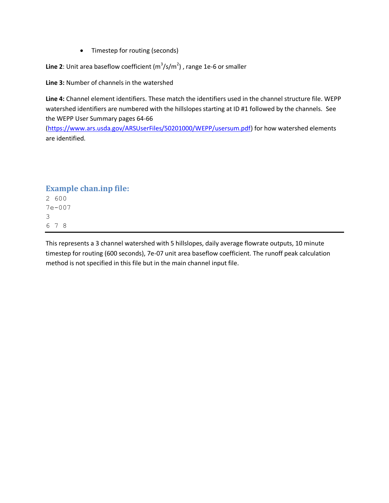• Timestep for routing (seconds)

**Line 2**: Unit area baseflow coefficient  $(m^3/s/m^2)$  , range 1e-6 or smaller

**Line 3:** Number of channels in the watershed

**Line 4:** Channel element identifiers. These match the identifiers used in the channel structure file. WEPP watershed identifiers are numbered with the hillslopes starting at ID #1 followed by the channels. See the WEPP User Summary pages 64-66

[\(https://www.ars.usda.gov/ARSUserFiles/50201000/WEPP/usersum.pdf\)](https://www.ars.usda.gov/ARSUserFiles/50201000/WEPP/usersum.pdf) for how watershed elements are identified.

## **Example chan.inp file:**

This represents a 3 channel watershed with 5 hillslopes, daily average flowrate outputs, 10 minute timestep for routing (600 seconds), 7e-07 unit area baseflow coefficient. The runoff peak calculation method is not specified in this file but in the main channel input file.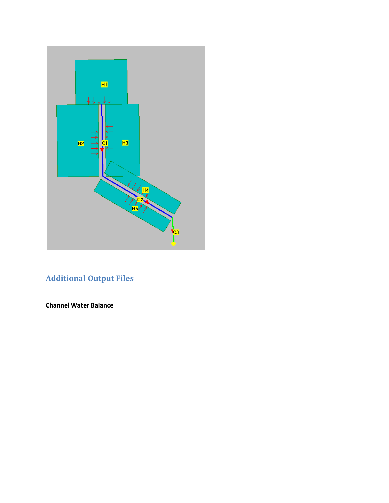

## **Additional Output Files**

**Channel Water Balance**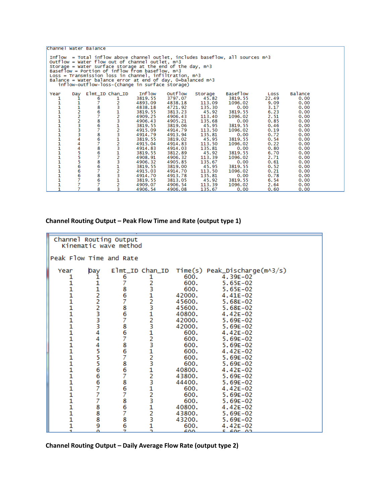| Channel Water Balance                                                                                                                                                                                                                                                                                                                                                                                                                                   |          |                    |                      |               |         |         |          |       |         |  |
|---------------------------------------------------------------------------------------------------------------------------------------------------------------------------------------------------------------------------------------------------------------------------------------------------------------------------------------------------------------------------------------------------------------------------------------------------------|----------|--------------------|----------------------|---------------|---------|---------|----------|-------|---------|--|
| Inflow = Total inflow above channel outlet, includes baseflow, all sources $m \wedge 3$<br>Outflow = Water flow out of channel outlet, m^3<br>Storage = Water surface storage at the end of the day, $m \wedge 3$<br>Baseflow = Portion of inflow from baseflow, m^3<br>$Loss = Transmission loss in channel, inflation, m1$<br>Balance = Water balance error at end of day, 0=balanced $m \wedge 3$<br>inflow-outflow-loss-(change in surface storage) |          |                    |                      |               |         |         |          |       |         |  |
| Year                                                                                                                                                                                                                                                                                                                                                                                                                                                    | Day      |                    | $E1mt\_ID$ $Chan_ID$ | <b>Inflow</b> | outflow | Storage | Baseflow | Loss  | Balance |  |
| 1                                                                                                                                                                                                                                                                                                                                                                                                                                                       |          | 6                  |                      | 3819.55       | 3797.07 | 45.82   | 3819.55  | 22.49 | 0.00    |  |
|                                                                                                                                                                                                                                                                                                                                                                                                                                                         |          | 7                  |                      | 4893.09       | 4838.18 | 113.09  | 1096.02  | 9.09  | 0.00    |  |
| 1111111111111111111                                                                                                                                                                                                                                                                                                                                                                                                                                     | 11222334 |                    | 2312312312312312312  | 4838.18       | 4721.92 | 135.30  | 0.00     | 3.17  | 0.00    |  |
|                                                                                                                                                                                                                                                                                                                                                                                                                                                         |          | 867867867867867867 |                      | 3819.55       | 3813.23 | 45.92   | 3819.55  | 6.23  | 0.00    |  |
|                                                                                                                                                                                                                                                                                                                                                                                                                                                         |          |                    |                      | 4909.25       | 4906.43 | 113.40  | 1096.02  | 2.51  | 0.00    |  |
|                                                                                                                                                                                                                                                                                                                                                                                                                                                         |          |                    |                      | 4906.43       | 4905.21 | 135.68  | 0.00     | 0.85  | 0.00    |  |
|                                                                                                                                                                                                                                                                                                                                                                                                                                                         |          |                    |                      | 3819.55       | 3819.06 | 45.95   | 3819.55  | 0.46  | 0.00    |  |
|                                                                                                                                                                                                                                                                                                                                                                                                                                                         |          |                    |                      | 4915.09       | 4914.79 | 113.50  | 1096.02  | 0.19  | 0.00    |  |
|                                                                                                                                                                                                                                                                                                                                                                                                                                                         |          |                    |                      | 4914.79       | 4913.94 | 135.81  | 0.00     | 0.72  | 0.00    |  |
|                                                                                                                                                                                                                                                                                                                                                                                                                                                         |          |                    |                      | 3819.55       | 3819.02 | 45.95   | 3819.55  | 0.54  | 0.00    |  |
|                                                                                                                                                                                                                                                                                                                                                                                                                                                         | 44556666 |                    |                      | 4915.04       | 4914.83 | 113.50  | 1096.02  | 0.22  | 0.00    |  |
|                                                                                                                                                                                                                                                                                                                                                                                                                                                         |          |                    |                      | 4914.83       | 4914.03 | 135.81  | 0.00     | 0.80  | 0.00    |  |
|                                                                                                                                                                                                                                                                                                                                                                                                                                                         |          |                    |                      | 3819.55       | 3812.89 | 45.92   | 3819.55  | 6.70  | 0.00    |  |
|                                                                                                                                                                                                                                                                                                                                                                                                                                                         |          |                    |                      | 4908.91       | 4906.32 | 113.39  | 1096.02  | 2.71  | 0.00    |  |
|                                                                                                                                                                                                                                                                                                                                                                                                                                                         |          |                    |                      | 4906.32       | 4905.85 | 135.67  | 0.00     | 0.61  | 0.00    |  |
|                                                                                                                                                                                                                                                                                                                                                                                                                                                         |          |                    |                      | 3819.55       | 3819.00 | 45.95   | 3819.55  | 0.52  | 0.00    |  |
|                                                                                                                                                                                                                                                                                                                                                                                                                                                         |          |                    |                      | 4915.03       | 4914.70 | 113.50  | 1096.02  | 0.21  | 0.00    |  |
|                                                                                                                                                                                                                                                                                                                                                                                                                                                         |          |                    |                      | 4914.70       | 4913.78 | 135.81  | 0.00     | 0.78  | 0.00    |  |
|                                                                                                                                                                                                                                                                                                                                                                                                                                                         |          |                    |                      | 3819.55       | 3813.05 | 45.92   | 3819.55  | 6.54  | 0.00    |  |
|                                                                                                                                                                                                                                                                                                                                                                                                                                                         |          |                    |                      | 4909.07       | 4906.54 | 113.39  | 1096.02  | 2.64  | 0.00    |  |
|                                                                                                                                                                                                                                                                                                                                                                                                                                                         |          | 8                  | 3                    | 4906.54       | 4906.08 | 135.67  | 0.00     | 0.60  | 0.00    |  |

## **Channel Routing Output – Peak Flow Time and Rate (output type 1)**

| Channel Routing Output<br>Kinematic wave method |                                            |                |                         |              |                                                                    |  |  |
|-------------------------------------------------|--------------------------------------------|----------------|-------------------------|--------------|--------------------------------------------------------------------|--|--|
| Peak Flow Time and Rate                         |                                            |                |                         |              |                                                                    |  |  |
| Year<br>1                                       | Day                                        | 6              | 1                       | 600.         | $E1mt\_ID$ Chan $ID$ Time(s) Peak $_D$ ischarge(m^3/s)<br>4.39E-02 |  |  |
|                                                 |                                            | 7              |                         | 600.         | $5.65E-02$                                                         |  |  |
|                                                 |                                            | 8              |                         | 600.         | $5.65E-02$                                                         |  |  |
|                                                 |                                            | 6              |                         | 42000.       | $4.41E-02$                                                         |  |  |
|                                                 |                                            | 7              |                         | 45600.       | $5.68E-02$                                                         |  |  |
|                                                 |                                            | 8              |                         | 45600.       | $5.68E-02$                                                         |  |  |
|                                                 |                                            | 6              |                         | 40800.       | 4.42E-02                                                           |  |  |
|                                                 | 1122233344                                 | 7              |                         | 42000.       | $5.69E-02$                                                         |  |  |
|                                                 |                                            | 8              |                         | 42000.       | 5.69E-02                                                           |  |  |
|                                                 |                                            | 6              |                         | 600.         | 4.42E-02                                                           |  |  |
|                                                 |                                            | 7              |                         | 600.         | $5.69E-02$                                                         |  |  |
|                                                 |                                            | 8              |                         | 600.         | $5.69E-02$                                                         |  |  |
|                                                 |                                            | 6              |                         | 600.         | 4.42E-02                                                           |  |  |
|                                                 |                                            | 7              |                         | 600.         | 5.69E-02                                                           |  |  |
|                                                 |                                            | 8              |                         | 600.         | $5.69E-02$                                                         |  |  |
|                                                 |                                            | 6              |                         | 40800.       | 4.42E-02                                                           |  |  |
|                                                 |                                            | 7              |                         | 43800.       | 5.69E-02                                                           |  |  |
|                                                 | 45556667                                   | 8              |                         | 44400.       | $5.69E-02$                                                         |  |  |
|                                                 | 7                                          | 6<br>7         |                         | 600.         | 4.42E-02                                                           |  |  |
|                                                 | $\overline{7}$                             | 8              |                         | 600.<br>600. | $5.69E-02$<br>$5.69E-02$                                           |  |  |
|                                                 |                                            | 6              |                         | 40800.       | 4.42E-02                                                           |  |  |
| 1111111111111111111111111                       | $\begin{array}{c} 8 \\ 8 \\ 8 \end{array}$ | 7              | 23123123123123123123123 | 43800.       | $5.69E-02$                                                         |  |  |
|                                                 |                                            | 8              |                         | 43200.       | $5.69E-02$                                                         |  |  |
| 1                                               | 9                                          | 6              |                         | 600.         | 4.42E-02                                                           |  |  |
| Ŧ.                                              | $\Omega$                                   | $\overline{7}$ | $\frac{1}{2}$           | 600          | 5.605.02                                                           |  |  |

**Channel Routing Output – Daily Average Flow Rate (output type 2)**